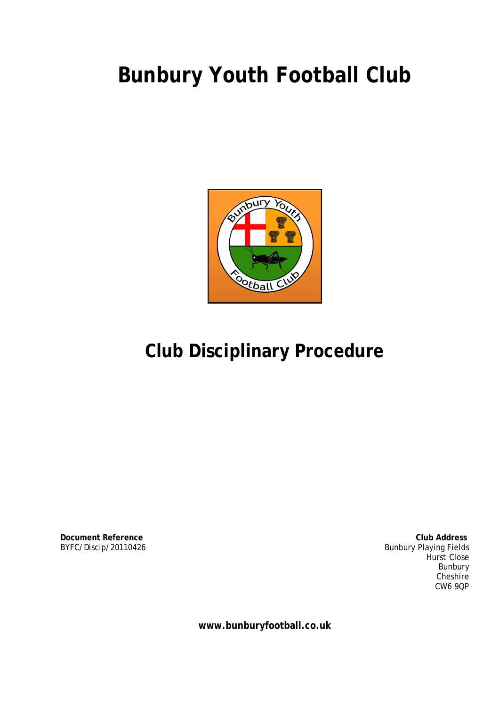# **Bunbury Youth Football Club**



## **Club Disciplinary Procedure**

**Document Reference** BYFC/Discip/20110426

**Club Address** Bunbury Playing Fields Hurst Close Bunbury **Cheshire** CW6 9QP

**www.bunburyfootball.co.uk**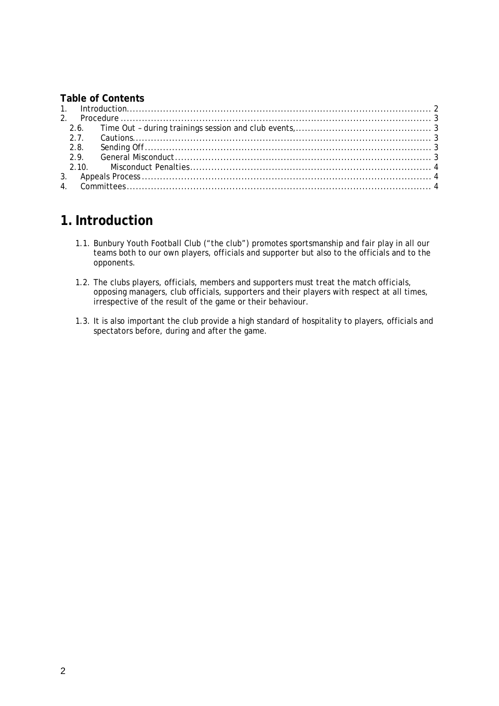#### **Table of Contents**

## **1.Introduction**

- 1.1. Bunbury Youth Football Club ("the club") promotes sportsmanship and fair play in all our teams both to our own players, officials and supporter but also to the officials and to the opponents.
- 1.2. The clubs players, officials, members and supporters must treat the match officials, opposing managers, club officials, supporters and their players with respect at all times, irrespective of the result of the game or their behaviour.
- 1.3. It is also important the club provide a high standard of hospitality to players, officials and spectators before, during and after the game.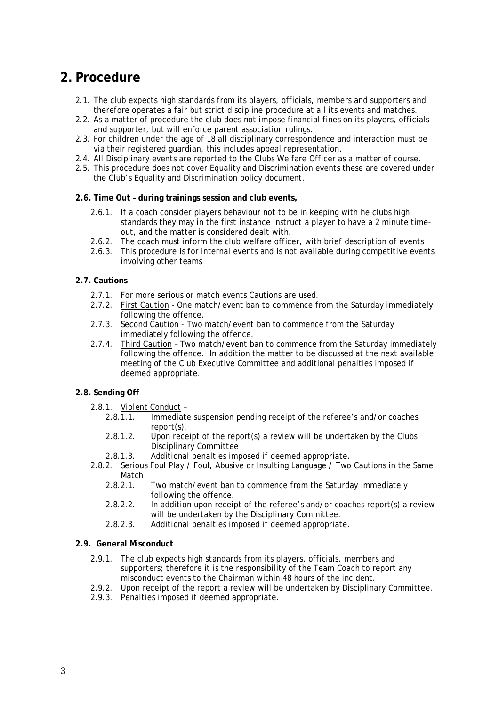## **2. Procedure**

- 2.1. The club expects high standards from its players, officials, members and supporters and therefore operates a fair but strict discipline procedure at all its events and matches.
- 2.2. As a matter of procedure the club does not impose financial fines on its players, officials and supporter, but will enforce parent association rulings.
- 2.3. For children under the age of 18 all disciplinary correspondence and interaction must be via their registered guardian, this includes appeal representation.
- 2.4. All Disciplinary events are reported to the Clubs Welfare Officer as a matter of course.
- 2.5. This procedure does not cover Equality and Discrimination events these are covered under the Club's Equality and Discrimination policy document.

#### **2.6. Time Out – during trainings session and club events,**

- 2.6.1. If a coach consider players behaviour not to be in keeping with he clubs high standards they may in the first instance instruct a player to have a 2 minute timeout, and the matter is considered dealt with.
- 2.6.2. The coach must inform the club welfare officer, with brief description of events
- 2.6.3. This procedure is for internal events and is not available during competitive events involving other teams

#### **2.7. Cautions**

- 2.7.1. For more serious or match events Cautions are used.
- 2.7.2. First Caution One match/event ban to commence from the Saturday immediately following the offence.
- 2.7.3. Second Caution Two match/event ban to commence from the Saturday immediately following the offence.
- 2.7.4. Third Caution Two match/event ban to commence from the Saturday immediately following the offence. In addition the matter to be discussed at the next available meeting of the Club Executive Committee and additional penalties imposed if deemed appropriate.

#### **2.8. Sending Off**

- 2.8.1. <u>Violent Conduct</u> -<br>2.8.1.1. Immediate
	- Immediate suspension pending receipt of the referee's and/or coaches report(s).
	- 2.8.1.2. Upon receipt of the report(s) a review will be undertaken by the Clubs Disciplinary Committee
- 2.8.1.3. Additional penalties imposed if deemed appropriate.
- 2.8.2. Serious Foul Play / Foul, Abusive or Insulting Language / Two Cautions in the Same  $\frac{\text{Match}}{2.8.2.1}$ 
	- Two match/event ban to commence from the Saturday immediately following the offence.
	- 2.8.2.2. In addition upon receipt of the referee's and/or coaches report(s) a review will be undertaken by the Disciplinary Committee.
	- 2.8.2.3. Additional penalties imposed if deemed appropriate.

#### **2.9. General Misconduct**

- 2.9.1. The club expects high standards from its players, officials, members and supporters; therefore it is the responsibility of the Team Coach to report any misconduct events to the Chairman within 48 hours of the incident.
- 2.9.2. Upon receipt of the report a review will be undertaken by Disciplinary Committee.
- 2.9.3. Penalties imposed if deemed appropriate.